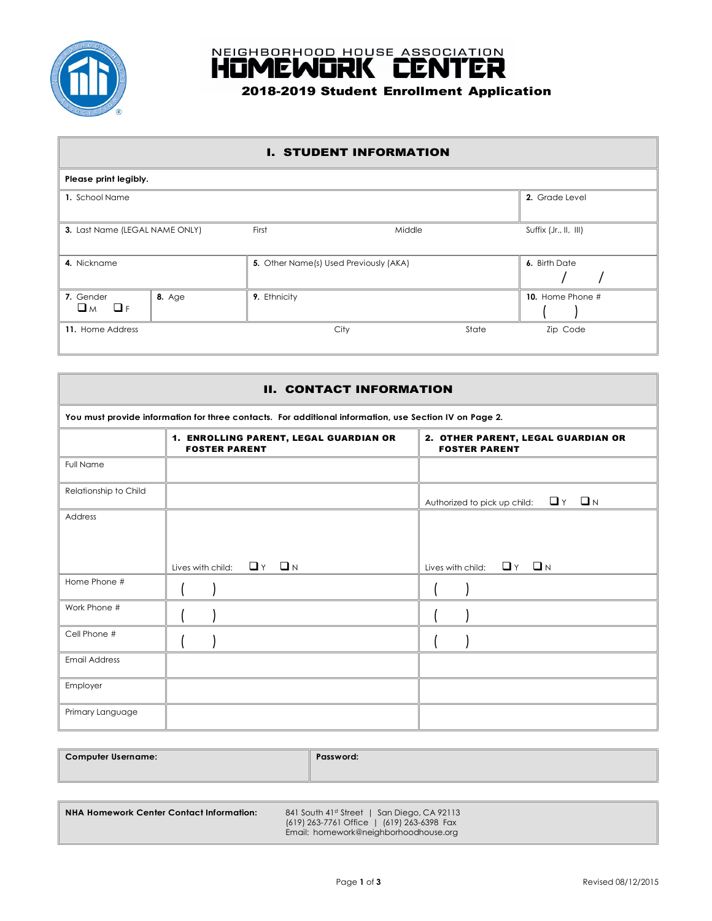



### I. STUDENT INFORMATION

| Please print legibly.                 |               |                                        |       |                       |  |
|---------------------------------------|---------------|----------------------------------------|-------|-----------------------|--|
| 1. School Name                        |               |                                        |       | 2. Grade Level        |  |
| 3. Last Name (LEGAL NAME ONLY)        |               | First<br>Middle                        |       | Suffix (Jr., II, III) |  |
| 4. Nickname                           |               | 5. Other Name(s) Used Previously (AKA) |       | 6. Birth Date         |  |
| 7. Gender<br>$\Box$ <i>M</i> $\Box$ F | <b>8.</b> Age | 9. Ethnicity                           |       | 10. Home Phone #      |  |
| 11. Home Address                      |               | City                                   | State | Zip Code              |  |

| <b>II. CONTACT INFORMATION</b>                                                                         |                                                                |                                                            |  |  |  |
|--------------------------------------------------------------------------------------------------------|----------------------------------------------------------------|------------------------------------------------------------|--|--|--|
| You must provide information for three contacts. For additional information, use Section IV on Page 2. |                                                                |                                                            |  |  |  |
|                                                                                                        | 1. ENROLLING PARENT, LEGAL GUARDIAN OR<br><b>FOSTER PARENT</b> | 2. OTHER PARENT, LEGAL GUARDIAN OR<br><b>FOSTER PARENT</b> |  |  |  |
| <b>Full Name</b>                                                                                       |                                                                |                                                            |  |  |  |
| Relationship to Child                                                                                  |                                                                | Authorized to pick up child: $\Box$ Y $\Box$ N             |  |  |  |
| Address                                                                                                |                                                                |                                                            |  |  |  |
|                                                                                                        | $\Box$ $\Upsilon$ $\Box$ $N$<br>Lives with child:              | Lives with child: $\Box$ Y $\Box$ N                        |  |  |  |
| Home Phone #                                                                                           |                                                                |                                                            |  |  |  |
| Work Phone #                                                                                           |                                                                |                                                            |  |  |  |
| Cell Phone #                                                                                           |                                                                |                                                            |  |  |  |
| <b>Email Address</b>                                                                                   |                                                                |                                                            |  |  |  |
| Employer                                                                                               |                                                                |                                                            |  |  |  |
| Primary Language                                                                                       |                                                                |                                                            |  |  |  |

| Computer Username: | <b>Password:</b> |
|--------------------|------------------|
|                    |                  |

| NHA Homework Center Contact Information: | 841 South 41st Street   San Dieao, CA 92113 |
|------------------------------------------|---------------------------------------------|
|                                          | (619) 263-7761 Office   (619) 263-6398 Fax  |
|                                          | Email: homework@neighborhoodhouse.org       |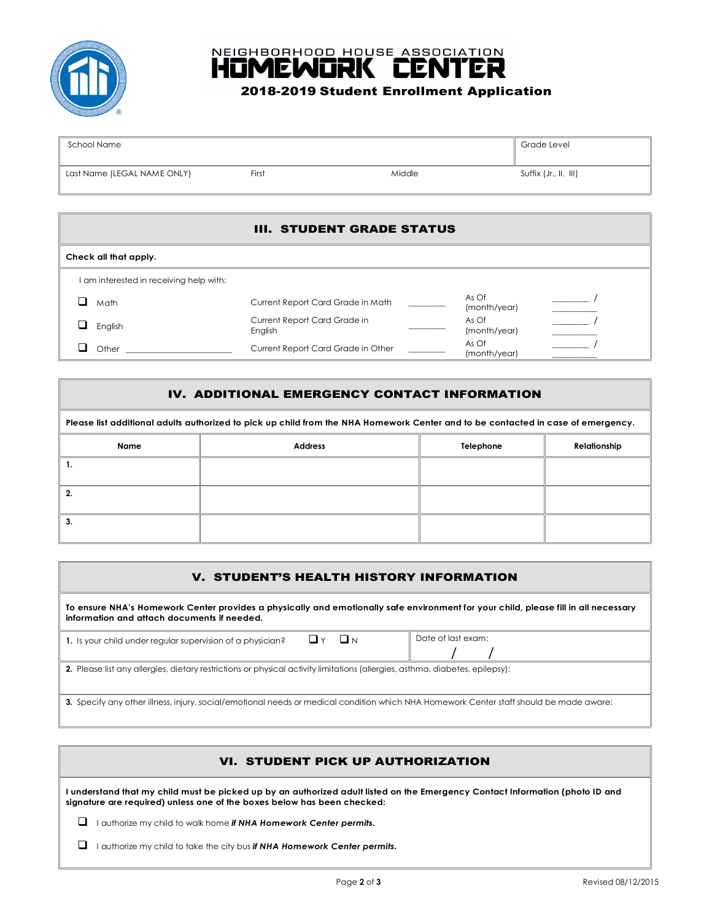



# 2018-2019 Student Enrollment Application

| School Name                 |       | Grade Level |                       |
|-----------------------------|-------|-------------|-----------------------|
| Last Name (LEGAL NAME ONLY) | First | Middle      | Suffix (Jr., II, III) |

### III. STUDENT GRADE STATUS

| Check all that apply.                   |                                         |  |                       |  |
|-----------------------------------------|-----------------------------------------|--|-----------------------|--|
| I am interested in receiving help with: |                                         |  |                       |  |
| Math                                    | Current Report Card Grade in Math       |  | As Of<br>(month/year) |  |
| English                                 | Current Report Card Grade in<br>English |  | As Of<br>(month/year) |  |
| Other                                   | Current Report Card Grade in Other      |  | As Of<br>(month/year) |  |

## IV. ADDITIONAL EMERGENCY CONTACT INFORMATION

| Please list additional adults authorized to pick up child from the NHA Homework Center and to be contacted in case of emergency. |                |              |  |  |
|----------------------------------------------------------------------------------------------------------------------------------|----------------|--------------|--|--|
| Name                                                                                                                             | <b>Address</b> | Relationship |  |  |
|                                                                                                                                  |                |              |  |  |
| 2.                                                                                                                               |                |              |  |  |
| 3.                                                                                                                               |                |              |  |  |

## V. STUDENT'S HEALTH HISTORY INFORMATION

**To ensure NHA's Homework Center provides a physically and emotionally safe environment for your child, please fill in all necessary information and attach documents if needed.**

| 1. Is your child under regular supervision of a physician?                                                                              | $\Box$ N<br>ШY | Date of last exam: |
|-----------------------------------------------------------------------------------------------------------------------------------------|----------------|--------------------|
|                                                                                                                                         |                |                    |
| 2. Please list any allergies, dietary restrictions or physical activity limitations (allergies, asthma, diabetes, epilepsy):            |                |                    |
| 3. Specify any other illness, injury, social/emotional needs or medical condition which NHA Homework Center staff should be made aware: |                |                    |

## VI. STUDENT PICK UP AUTHORIZATION

**I understand that my child must be picked up by an authorized adult listed on the Emergency Contact Information (photo ID and**  signature are required) unless one of the boxes below has been checked:

**1** I authorize my child to walk home *if NHA Homework Center permits.* 

 $\Box$  I authorize my child to take the city bus *if NHA Homework Center permits.*